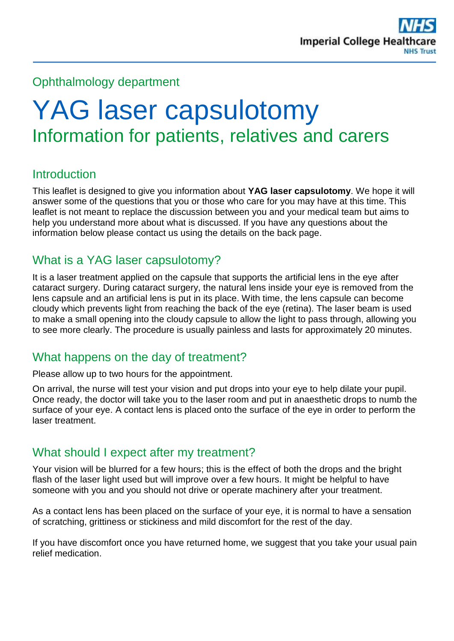# Ophthalmology department

# YAG laser capsulotomy Information for patients, relatives and carers

# **Introduction**

This leaflet is designed to give you information about **YAG laser capsulotomy**. We hope it will answer some of the questions that you or those who care for you may have at this time. This leaflet is not meant to replace the discussion between you and your medical team but aims to help you understand more about what is discussed. If you have any questions about the information below please contact us using the details on the back page.

# What is a YAG laser capsulotomy?

It is a laser treatment applied on the capsule that supports the artificial lens in the eye after cataract surgery. During cataract surgery, the natural lens inside your eye is removed from the lens capsule and an artificial lens is put in its place. With time, the lens capsule can become cloudy which prevents light from reaching the back of the eye (retina). The laser beam is used to make a small opening into the cloudy capsule to allow the light to pass through, allowing you to see more clearly. The procedure is usually painless and lasts for approximately 20 minutes.

# What happens on the day of treatment?

Please allow up to two hours for the appointment.

On arrival, the nurse will test your vision and put drops into your eye to help dilate your pupil. Once ready, the doctor will take you to the laser room and put in anaesthetic drops to numb the surface of your eye. A contact lens is placed onto the surface of the eye in order to perform the laser treatment.

#### What should I expect after my treatment?

Your vision will be blurred for a few hours; this is the effect of both the drops and the bright flash of the laser light used but will improve over a few hours. It might be helpful to have someone with you and you should not drive or operate machinery after your treatment.

As a contact lens has been placed on the surface of your eye, it is normal to have a sensation of scratching, grittiness or stickiness and mild discomfort for the rest of the day.

If you have discomfort once you have returned home, we suggest that you take your usual pain relief medication.